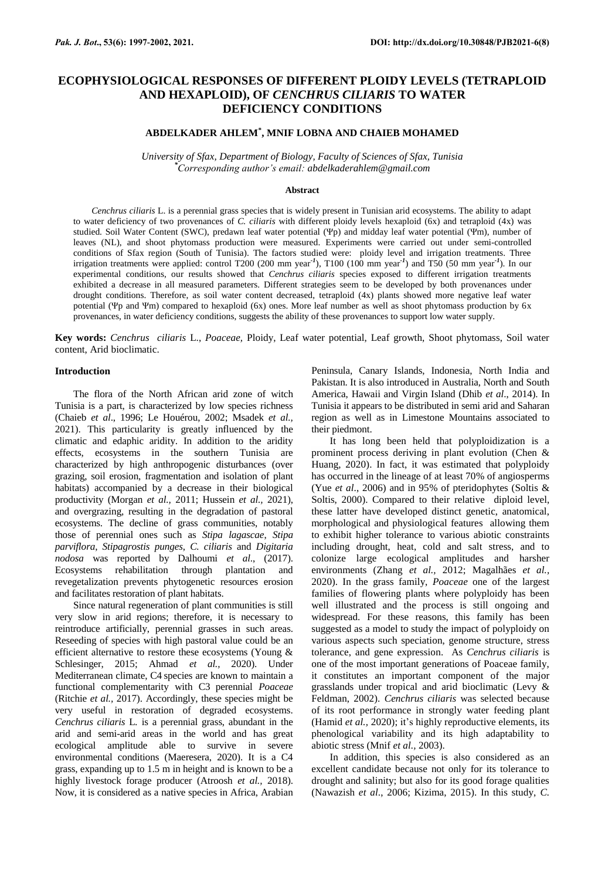# **ECOPHYSIOLOGICAL RESPONSES OF DIFFERENT PLOIDY LEVELS (TETRAPLOID AND HEXAPLOID), OF** *CENCHRUS CILIARIS* **TO WATER DEFICIENCY CONDITIONS**

## **ABDELKADER AHLEM\* , MNIF LOBNA AND CHAIEB MOHAMED**

*University of Sfax, Department of Biology, Faculty of Sciences of Sfax, Tunisia \*Corresponding author's email: abdelkaderahlem@gmail.com*

#### **Abstract**

*Cenchrus ciliaris* L. is a perennial grass species that is widely present in Tunisian arid ecosystems. The ability to adapt to water deficiency of two provenances of *C. ciliaris* with different ploidy levels hexaploid (6x) and tetraploid (4x) was studied. Soil Water Content (SWC), predawn leaf water potential (Ψp) and midday leaf water potential (Ψm), number of leaves (NL), and shoot phytomass production were measured. Experiments were carried out under semi-controlled conditions of Sfax region (South of Tunisia). The factors studied were: ploidy level and irrigation treatments. Three irrigation treatments were applied: control T200 (200 mm year*-1* ), T100 (100 mm year*-1* ) and T50 (50 mm year*-1* ). In our experimental conditions, our results showed that *Cenchrus ciliaris* species exposed to different irrigation treatments exhibited a decrease in all measured parameters. Different strategies seem to be developed by both provenances under drought conditions. Therefore, as soil water content decreased, tetraploid (4x) plants showed more negative leaf water potential (Ψp and Ψm) compared to hexaploid (6x) ones. More leaf number as well as shoot phytomass production by 6x provenances, in water deficiency conditions, suggests the ability of these provenances to support low water supply.

**Key words:** *Cenchrus ciliaris* L., *Poaceae,* Ploidy, Leaf water potential, Leaf growth, Shoot phytomass, Soil water content, Arid bioclimatic.

#### **Introduction**

The flora of the North African arid zone of witch Tunisia is a part, is characterized by low species richness (Chaieb *et al*., 1996; Le Houérou, 2002; Msadek *et al.,* 2021). This particularity is greatly influenced by the climatic and edaphic aridity. In addition to the aridity effects, ecosystems in the southern Tunisia are characterized by high anthropogenic disturbances (over grazing, soil erosion, fragmentation and isolation of plant habitats) accompanied by a decrease in their biological productivity (Morgan *et al.,* 2011; Hussein *et al.,* 2021), and overgrazing, resulting in the degradation of pastoral ecosystems. The decline of grass communities, notably those of perennial ones such as *Stipa lagascae*, *Stipa parviflora*, *Stipagrostis punges*, *C. ciliaris* and *Digitaria nodosa* was reported by Dalhoumi *et al*., (2017). Ecosystems rehabilitation through plantation and revegetalization prevents phytogenetic resources erosion and facilitates restoration of plant habitats.

Since natural regeneration of plant communities is still very slow in arid regions; therefore, it is necessary to reintroduce artificially, perennial grasses in such areas. Reseeding of species with high pastoral value could be an efficient alternative to restore these ecosystems (Young & Schlesinger, 2015; Ahmad *et al.,* 2020). Under Mediterranean climate, C4 species are known to maintain a functional complementarity with C3 perennial *Poaceae* (Ritchie *et al.,* 2017). Accordingly, these species might be very useful in restoration of degraded ecosystems. *Cenchrus ciliaris* L*.* is a perennial grass, abundant in the arid and semi-arid areas in the world and has great ecological amplitude able to survive in severe environmental conditions (Maeresera, 2020). It is a C4 grass, expanding up to 1.5 m in height and is known to be a highly livestock forage producer (Atroosh *et al.,* 2018). Now, it is considered as a native species in Africa, Arabian Peninsula, Canary Islands, Indonesia, North India and Pakistan. It is also introduced in Australia, North and South America, Hawaii and Virgin Island (Dhib *et al*., 2014). In Tunisia it appears to be distributed in semi arid and Saharan region as well as in Limestone Mountains associated to their piedmont.

It has long been held that polyploidization is a prominent process deriving in plant evolution (Chen & Huang, 2020). In fact, it was estimated that polyploidy has occurred in the lineage of at least 70% of angiosperms (Yue *et al*., 2006) and in 95% of pteridophytes (Soltis & Soltis, 2000). Compared to their relative diploid level, these latter have developed distinct genetic, anatomical, morphological and physiological features allowing them to exhibit higher tolerance to various abiotic constraints including drought, heat, cold and salt stress, and to colonize large ecological amplitudes and harsher environments (Zhang *et al.,* 2012; Magalhães *et al.,* 2020). In the grass family, *Poaceae* one of the largest families of flowering plants where polyploidy has been well illustrated and the process is still ongoing and widespread. For these reasons, this family has been suggested as a model to study the impact of polyploidy on various aspects such speciation, genome structure, stress tolerance, and gene expression. As *Cenchrus ciliaris* is one of the most important generations of Poaceae family, it constitutes an important component of the major grasslands under tropical and arid bioclimatic (Levy & Feldman, 2002). *Cenchrus ciliaris* was selected because of its root performance in strongly water feeding plant (Hamid *et al.,* 2020); it's highly reproductive elements, its phenological variability and its high adaptability to abiotic stress (Mnif *et al.,* 2003).

In addition, this species is also considered as an excellent candidate because not only for its tolerance to drought and salinity; but also for its good forage qualities (Nawazish *et al*., 2006; Kizima, 2015). In this study, *C.*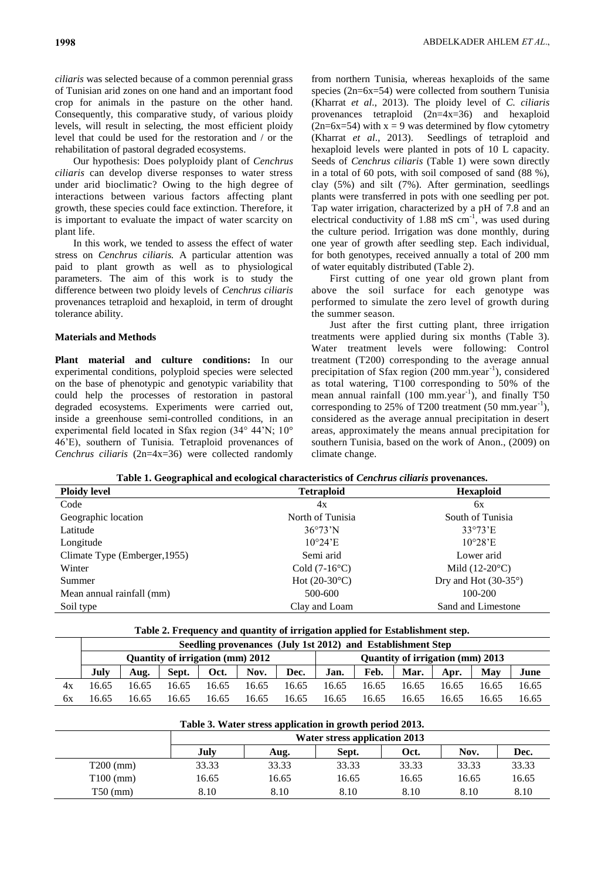*ciliaris* was selected because of a common perennial grass of Tunisian arid zones on one hand and an important food crop for animals in the pasture on the other hand. Consequently, this comparative study, of various ploidy levels, will result in selecting, the most efficient ploidy level that could be used for the restoration and / or the rehabilitation of pastoral degraded ecosystems.

Our hypothesis: Does polyploidy plant of *Cenchrus ciliaris* can develop diverse responses to water stress under arid bioclimatic? Owing to the high degree of interactions between various factors affecting plant growth, these species could face extinction. Therefore, it is important to evaluate the impact of water scarcity on plant life.

In this work, we tended to assess the effect of water stress on *Cenchrus ciliaris.* A particular attention was paid to plant growth as well as to physiological parameters. The aim of this work is to study the difference between two ploidy levels of *Cenchrus ciliaris* provenances tetraploid and hexaploid, in term of drought tolerance ability.

### **Materials and Methods**

**Plant material and culture conditions:** In our experimental conditions, polyploid species were selected on the base of phenotypic and genotypic variability that could help the processes of restoration in pastoral degraded ecosystems. Experiments were carried out, inside a greenhouse semi-controlled conditions, in an experimental field located in Sfax region (34° 44'N; 10° 46'E), southern of Tunisia. Tetraploid provenances of *Cenchrus ciliaris* (2n=4x=36) were collected randomly

from northern Tunisia, whereas hexaploids of the same species (2n=6x=54) were collected from southern Tunisia (Kharrat *et al*., 2013). The ploidy level of *C. ciliaris*  provenances tetraploid (2n=4x=36) and hexaploid  $(2n=6x=54)$  with  $x = 9$  was determined by flow cytometry (Kharrat *et al*., 2013). Seedlings of tetraploid and hexaploid levels were planted in pots of 10 L capacity. Seeds of *Cenchrus ciliaris* (Table 1) were sown directly in a total of 60 pots, with soil composed of sand (88 %), clay (5%) and silt (7%). After germination, seedlings plants were transferred in pots with one seedling per pot. Tap water irrigation, characterized by a pH of 7.8 and an electrical conductivity of  $1.88 \text{ mS cm}^{-1}$ , was used during the culture period. Irrigation was done monthly, during one year of growth after seedling step. Each individual, for both genotypes, received annually a total of 200 mm of water equitably distributed (Table 2).

First cutting of one year old grown plant from above the soil surface for each genotype was performed to simulate the zero level of growth during the summer season.

Just after the first cutting plant, three irrigation treatments were applied during six months (Table 3). Water treatment levels were following: Control treatment (T200) corresponding to the average annual precipitation of Sfax region (200 mm.year<sup>-1</sup>), considered as total watering, T100 corresponding to 50% of the mean annual rainfall (100 mm.year<sup>-1</sup>), and finally T50 corresponding to 25% of T200 treatment  $(50 \text{ mm. year}^{-1})$ , considered as the average annual precipitation in desert areas, approximately the means annual precipitation for southern Tunisia, based on the work of Anon., (2009) on climate change.

|  | Table 1. Geographical and ecological characteristics of <i>Cenchrus ciliaris</i> provenances. |  |
|--|-----------------------------------------------------------------------------------------------|--|
|  |                                                                                               |  |

| <b>Ploidy level</b>           | <b>Tetraploid</b>             | <b>Hexaploid</b>              |
|-------------------------------|-------------------------------|-------------------------------|
| Code                          | 4x                            | 6x                            |
| Geographic location           | North of Tunisia              | South of Tunisia              |
| Latitude                      | $36^{\circ}73^{\prime}N$      | $33^{\circ}73$ <sup>E</sup>   |
| Longitude                     | $10^{\circ}24$ <sup>'</sup> E | $10^{\circ}28$ E              |
| Climate Type (Emberger, 1955) | Semi arid                     | Lower arid                    |
| Winter                        | Cold $(7-16^{\circ}C)$        | Mild $(12-20\degree C)$       |
| Summer                        | Hot $(20-30^{\circ}C)$        | Dry and Hot $(30-35^{\circ})$ |
| Mean annual rainfall (mm)     | 500-600                       | 100-200                       |
| Soil type                     | Clay and Loam                 | Sand and Limestone            |

| Table 2. Frequency and quantity of irrigation applied for Establishment step. |  |  |  |  |  |
|-------------------------------------------------------------------------------|--|--|--|--|--|
|-------------------------------------------------------------------------------|--|--|--|--|--|

|    |                                                                             | Seedling provenances (July 1st 2012) and Establishment Step |       |       |       |       |       |       |       |       |       |       |
|----|-----------------------------------------------------------------------------|-------------------------------------------------------------|-------|-------|-------|-------|-------|-------|-------|-------|-------|-------|
|    | Quantity of irrigation (mm) 2012<br><b>Ouantity of irrigation (mm) 2013</b> |                                                             |       |       |       |       |       |       |       |       |       |       |
|    | July                                                                        | Aug.                                                        | Sept. | Oct.  | Nov.  | Dec.  | Jan.  | Feb.  | Mar.  | Apr.  | Mav   | June  |
| 4х | 16.65                                                                       | 16.65                                                       | 16.65 | 16.65 | 16.65 | 16.65 | 16.65 | 16.65 | 16.65 | 16.65 | 16.65 | 16.65 |
| 6x | 16.65                                                                       | 16.65                                                       | 16.65 | 16.65 | 16.65 | 16.65 | 16.65 | 16.65 | 16.65 | 16.65 | 16.65 | 16.65 |

| Table 3. Water stress application in growth period 2013. |  |
|----------------------------------------------------------|--|
|                                                          |  |

|             | <b>Water stress application 2013</b> |       |       |       |       |       |  |  |  |
|-------------|--------------------------------------|-------|-------|-------|-------|-------|--|--|--|
|             | July                                 | Aug.  | Sept. | Oct.  | Nov.  | Dec.  |  |  |  |
| $T200$ (mm) | 33.33                                | 33.33 | 33.33 | 33.33 | 33.33 | 33.33 |  |  |  |
| $T100$ (mm) | 16.65                                | 16.65 | 16.65 | 16.65 | 16.65 | 16.65 |  |  |  |
| $T50$ (mm)  | 8.10                                 | 8.10  | 8.10  | 8.10  | 8.10  | 8.10  |  |  |  |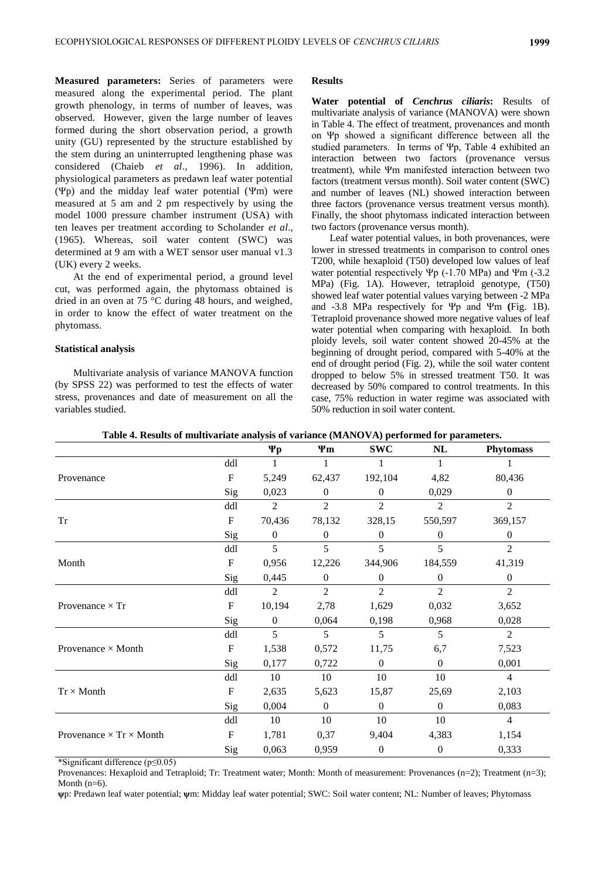**Measured parameters:** Series of parameters were measured along the experimental period. The plant growth phenology, in terms of number of leaves, was observed. However, given the large number of leaves formed during the short observation period, a growth unity (GU) represented by the structure established by the stem during an uninterrupted lengthening phase was considered (Chaieb *et al*., 1996). In addition, physiological parameters as predawn leaf water potential (Ψp) and the midday leaf water potential (Ψm) were measured at 5 am and 2 pm respectively by using the model 1000 pressure chamber instrument (USA) with ten leaves per treatment according to Scholander *et al*., (1965). Whereas, soil water content (SWC) was determined at 9 am with a WET sensor user manual v1.3 (UK) every 2 weeks.

At the end of experimental period, a ground level cut, was performed again, the phytomass obtained is dried in an oven at 75 °C during 48 hours, and weighed, in order to know the effect of water treatment on the phytomass.

#### **Statistical analysis**

Multivariate analysis of variance MANOVA function (by SPSS 22) was performed to test the effects of water stress, provenances and date of measurement on all the variables studied.

#### **Results**

**Water potential of** *Cenchrus ciliaris***:** Results of multivariate analysis of variance (MANOVA) were shown in Table 4. The effect of treatment, provenances and month on Ψp showed a significant difference between all the studied parameters. In terms of  $\Psi p$ , Table 4 exhibited an interaction between two factors (provenance versus treatment), while Ψm manifested interaction between two factors (treatment versus month). Soil water content (SWC) and number of leaves (NL) showed interaction between three factors (provenance versus treatment versus month). Finally, the shoot phytomass indicated interaction between two factors (provenance versus month).

Leaf water potential values, in both provenances, were lower in stressed treatments in comparison to control ones T200, while hexaploid (T50) developed low values of leaf water potential respectively  $\Psi$ p (-1.70 MPa) and  $\Psi$ m (-3.2 MPa) (Fig. 1A). However, tetraploid genotype, (T50) showed leaf water potential values varying between -2 MPa and -3.8 MPa respectively for Ψp and Ψm **(**Fig. 1B). Tetraploid provenance showed more negative values of leaf water potential when comparing with hexaploid. In both ploidy levels, soil water content showed 20-45% at the beginning of drought period, compared with 5-40% at the end of drought period (Fig. 2), while the soil water content dropped to below 5% in stressed treatment T50. It was decreased by 50% compared to control treatments. In this case, 75% reduction in water regime was associated with 50% reduction in soil water content.

|                                       |                           | Ψp             | Ψm             | <b>SWC</b>     | NL             | <b>Phytomass</b> |
|---------------------------------------|---------------------------|----------------|----------------|----------------|----------------|------------------|
|                                       | ddl                       |                | 1              |                | 1              |                  |
| Provenance                            | $\mathbf F$               | 5,249          | 62,437         | 192,104        | 4,82           | 80,436           |
|                                       | Sig                       | 0,023          | $\Omega$       | $\overline{0}$ | 0,029          | $\overline{0}$   |
|                                       | ddl                       | 2              | $\overline{2}$ | $\overline{2}$ | $\overline{2}$ | $\overline{2}$   |
| Tr                                    | $\mathbf F$               | 70,436         | 78,132         | 328,15         | 550,597        | 369,157          |
|                                       | Sig                       | $\overline{0}$ | $\overline{0}$ | $\overline{0}$ | $\theta$       | $\overline{0}$   |
|                                       | ddl                       | 5              | 5              | 5              | 5              | $\overline{2}$   |
| Month                                 | $\boldsymbol{\mathrm{F}}$ | 0,956          | 12,226         | 344,906        | 184,559        | 41,319           |
|                                       | Sig                       | 0,445          | $\Omega$       | $\overline{0}$ | $\Omega$       | $\boldsymbol{0}$ |
|                                       | ddl                       | 2              | $\overline{2}$ | $\overline{2}$ | $\overline{2}$ | $\overline{2}$   |
| Provenance $\times$ Tr                | $\boldsymbol{\mathrm{F}}$ | 10,194         | 2,78           | 1,629          | 0,032          | 3,652            |
|                                       | Sig                       | $\overline{0}$ | 0,064          | 0,198          | 0,968          | 0,028            |
|                                       | ddl                       | 5              | 5              | 5              | 5              | $\overline{2}$   |
| Provenance $\times$ Month             | $\boldsymbol{\mathrm{F}}$ | 1,538          | 0,572          | 11,75          | 6,7            | 7,523            |
|                                       | Sig                       | 0,177          | 0,722          | $\theta$       | $\theta$       | 0,001            |
|                                       | ddl                       | 10             | 10             | 10             | 10             | $\overline{4}$   |
| $Tr \times M$ onth                    | ${\bf F}$                 | 2,635          | 5,623          | 15,87          | 25,69          | 2,103            |
|                                       | Sig                       | 0,004          | $\theta$       | $\overline{0}$ | $\overline{0}$ | 0,083            |
|                                       | ddl                       | 10             | 10             | 10             | 10             | $\overline{4}$   |
| Provenance $\times$ Tr $\times$ Month | $\mathbf F$               | 1,781          | 0,37           | 9,404          | 4,383          | 1,154            |
|                                       | Sig                       | 0,063          | 0,959          | $\mathbf{0}$   | $\mathbf{0}$   | 0,333            |

| Table 4. Results of multivariate analysis of variance (MANOVA) performed for parameters. |  |  |
|------------------------------------------------------------------------------------------|--|--|
|                                                                                          |  |  |

\*Significant difference (p≤0.05)

Provenances: Hexaploid and Tetraploid; Tr: Treatment water; Month: Month of measurement: Provenances (n=2); Treatment (n=3); Month  $(n=6)$ .

**ψ**p: Predawn leaf water potential; **ψ**m: Midday leaf water potential; SWC: Soil water content; NL: Number of leaves; Phytomass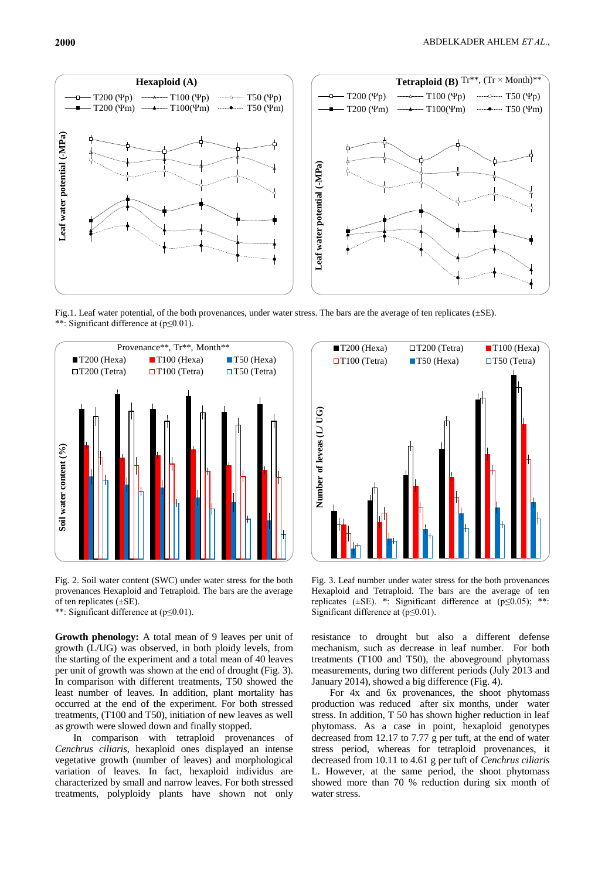

Fig.1. Leaf water potential, of the both provenances, under water stress. The bars are the average of ten replicates (±SE). \*\*: Significant difference at (p≤0.01).



Fig. 2. Soil water content (SWC) under water stress for the both provenances Hexaploid and Tetraploid. The bars are the average of ten replicates  $(\pm SE)$ .

\*\*: Significant difference at (p≤0.01).

**Growth phenology:** A total mean of 9 leaves per unit of growth (L/UG) was observed, in both ploidy levels, from the starting of the experiment and a total mean of 40 leaves per unit of growth was shown at the end of drought (Fig. 3). In comparison with different treatments, T50 showed the least number of leaves. In addition, plant mortality has occurred at the end of the experiment. For both stressed treatments, (T100 and T50), initiation of new leaves as well as growth were slowed down and finally stopped.

In comparison with tetraploid provenances of *Cenchrus ciliaris*, hexaploid ones displayed an intense vegetative growth (number of leaves) and morphological variation of leaves. In fact, hexaploid individus are characterized by small and narrow leaves. For both stressed treatments, polyploidy plants have shown not only



Fig. 3. Leaf number under water stress for the both provenances Hexaploid and Tetraploid. The bars are the average of ten replicates ( $\pm$ SE). \*: Significant difference at ( $p \le 0.05$ ); \*\*: Significant difference at (p≤0.01).

resistance to drought but also a different defense mechanism, such as decrease in leaf number. For both treatments (T100 and T50), the aboveground phytomass measurements, during two different periods (July 2013 and January 2014), showed a big difference (Fig. 4).

For 4x and 6x provenances, the shoot phytomass production was reduced after six months, under water stress. In addition, T 50 has shown higher reduction in leaf phytomass. As a case in point, hexaploid genotypes decreased from 12.17 to 7.77 g per tuft, at the end of water stress period, whereas for tetraploid provenances, it decreased from 10.11 to 4.61 g per tuft of *Cenchrus ciliaris*  L. However, at the same period, the shoot phytomass showed more than 70 % reduction during six month of water stress.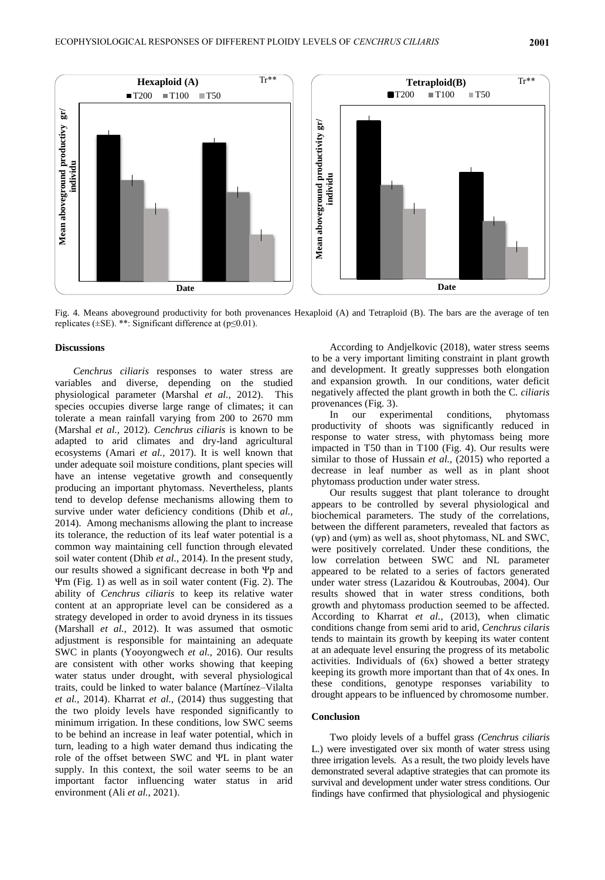

Fig. 4. Means aboveground productivity for both provenances Hexaploid (A) and Tetraploid (B). The bars are the average of ten replicates (±SE). \*\*: Significant difference at (p≤0.01).

#### **Discussions**

*Cenchrus ciliaris* responses to water stress are variables and diverse, depending on the studied physiological parameter (Marshal *et al.,* 2012). This species occupies diverse large range of climates; it can tolerate a mean rainfall varying from 200 to 2670 mm (Marshal *et al.,* 2012). *Cenchrus ciliaris* is known to be adapted to arid climates and dry-land agricultural ecosystems (Amari *et al.,* 2017). It is well known that under adequate soil moisture conditions, plant species will have an intense vegetative growth and consequently producing an important phytomass. Nevertheless, plants tend to develop defense mechanisms allowing them to survive under water deficiency conditions (Dhib et *al.,* 2014). Among mechanisms allowing the plant to increase its tolerance, the reduction of its leaf water potential is a common way maintaining cell function through elevated soil water content (Dhib *et al.,* 2014). In the present study, our results showed a significant decrease in both Ψp and Ψm (Fig. 1) as well as in soil water content (Fig. 2). The ability of *Cenchrus ciliaris* to keep its relative water content at an appropriate level can be considered as a strategy developed in order to avoid dryness in its tissues (Marshall *et al.,* 2012). It was assumed that osmotic adjustment is responsible for maintaining an adequate SWC in plants (Yooyongwech *et al.,* 2016). Our results are consistent with other works showing that keeping water status under drought, with several physiological traits, could be linked to water balance (Martínez–Vilalta *et al.,* 2014). Kharrat *et al.,* (2014) thus suggesting that the two ploidy levels have responded significantly to minimum irrigation. In these conditions, low SWC seems to be behind an increase in leaf water potential, which in turn, leading to a high water demand thus indicating the role of the offset between SWC and ΨL in plant water supply. In this context, the soil water seems to be an important factor influencing water status in arid environment (Ali *et al.,* 2021).

According to Andjelkovic (2018), water stress seems to be a very important limiting constraint in plant growth and development. It greatly suppresses both elongation and expansion growth. In our conditions, water deficit negatively affected the plant growth in both the C*. ciliaris* provenances (Fig. 3).

In our experimental conditions, phytomass productivity of shoots was significantly reduced in response to water stress, with phytomass being more impacted in T50 than in T100 (Fig. 4). Our results were similar to those of Hussain *et al.,* (2015) who reported a decrease in leaf number as well as in plant shoot phytomass production under water stress.

Our results suggest that plant tolerance to drought appears to be controlled by several physiological and biochemical parameters. The study of the correlations, between the different parameters, revealed that factors as (ψp) and (ψm) as well as, shoot phytomass, NL and SWC, were positively correlated. Under these conditions, the low correlation between SWC and NL parameter appeared to be related to a series of factors generated under water stress (Lazaridou & Koutroubas, 2004). Our results showed that in water stress conditions, both growth and phytomass production seemed to be affected. According to Kharrat *et al.,* (2013), when climatic conditions change from semi arid to arid, *Cenchrus cilaris* tends to maintain its growth by keeping its water content at an adequate level ensuring the progress of its metabolic activities. Individuals of (6x) showed a better strategy keeping its growth more important than that of 4x ones. In these conditions, genotype responses variability to drought appears to be influenced by chromosome number.

#### **Conclusion**

Two ploidy levels of a buffel grass *(Cenchrus ciliaris*  L.) were investigated over six month of water stress using three irrigation levels. As a result, the two ploidy levels have demonstrated several adaptive strategies that can promote its survival and development under water stress conditions. Our findings have confirmed that physiological and physiogenic